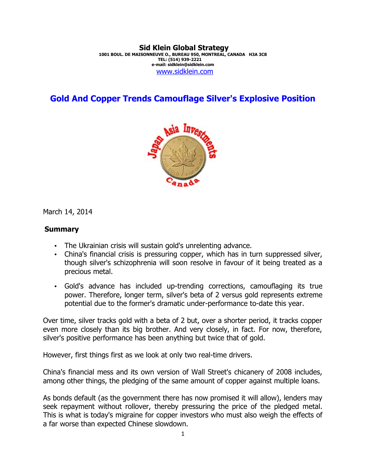#### **Sid Klein Global Strategy 1001 BOUL. DE MAISONNEUVE O., BUREAU 950, MONTREAL, CANADA H3A 3C8 TEL: (514) 939-2221 e-mail: sidklein@sidklein.com** [www.sidklein.com](http://www.sidklein.com/)

# **Gold And Copper Trends Camouflage Silver's Explosive Position**



March 14, 2014

#### **Summary**

- The Ukrainian crisis will sustain gold's unrelenting advance.
- China's financial crisis is pressuring copper, which has in turn suppressed silver, though silver's schizophrenia will soon resolve in favour of it being treated as a precious metal.
- Gold's advance has included up-trending corrections, camouflaging its true power. Therefore, longer term, silver's beta of 2 versus gold represents extreme potential due to the former's dramatic under-performance to-date this year.

Over time, silver tracks gold with a beta of 2 but, over a shorter period, it tracks copper even more closely than its big brother. And very closely, in fact. For now, therefore, silver's positive performance has been anything but twice that of gold.

However, first things first as we look at only two real-time drivers.

China's financial mess and its own version of Wall Street's chicanery of 2008 includes, among other things, the pledging of the same amount of copper against multiple loans.

As bonds default (as the government there has now promised it will allow), lenders may seek repayment without rollover, thereby pressuring the price of the pledged metal. This is what is today's migraine for copper investors who must also weigh the effects of a far worse than expected Chinese slowdown.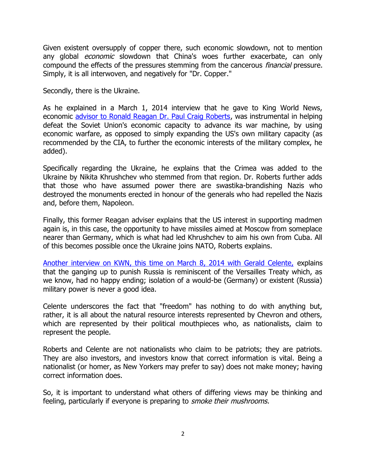Given existent oversupply of copper there, such economic slowdown, not to mention any global *economic* slowdown that China's woes further exacerbate, can only compound the effects of the pressures stemming from the cancerous financial pressure. Simply, it is all interwoven, and negatively for "Dr. Copper."

Secondly, there is the Ukraine.

As he explained in a March 1, 2014 interview that he gave to King World News, economic [advisor to Ronald Reagan Dr. Paul Craig Roberts,](http://kingworldnews.com/kingworldnews/Broadcast/Entries/2014/3/1_Dr._Paul_Craig_Roberts_files/Paul%20Craig%20Roberts%203%3A1%3A2014.mp3) was instrumental in helping defeat the Soviet Union's economic capacity to advance its war machine, by using economic warfare, as opposed to simply expanding the US's own military capacity (as recommended by the CIA, to further the economic interests of the military complex, he added).

Specifically regarding the Ukraine, he explains that the Crimea was added to the Ukraine by Nikita Khrushchev who stemmed from that region. Dr. Roberts further adds that those who have assumed power there are swastika-brandishing Nazis who destroyed the monuments erected in honour of the generals who had repelled the Nazis and, before them, Napoleon.

Finally, this former Reagan adviser explains that the US interest in supporting madmen again is, in this case, the opportunity to have missiles aimed at Moscow from someplace nearer than Germany, which is what had led Khrushchev to aim his own from Cuba. All of this becomes possible once the Ukraine joins NATO, Roberts explains.

[Another interview on KWN, this time on March 8, 2014 with Gerald Celente,](http://kingworldnews.com/kingworldnews/Broadcast/Entries/2014/3/8_Gerald_Celente_files/Gerald%20Celente%203%3A8%3A2014.mp3) explains that the ganging up to punish Russia is reminiscent of the Versailles Treaty which, as we know, had no happy ending; isolation of a would-be (Germany) or existent (Russia) military power is never a good idea.

Celente underscores the fact that "freedom" has nothing to do with anything but, rather, it is all about the natural resource interests represented by Chevron and others, which are represented by their political mouthpieces who, as nationalists, claim to represent the people.

Roberts and Celente are not nationalists who claim to be patriots; they are patriots. They are also investors, and investors know that correct information is vital. Being a nationalist (or homer, as New Yorkers may prefer to say) does not make money; having correct information does.

So, it is important to understand what others of differing views may be thinking and feeling, particularly if everyone is preparing to *smoke their mushrooms.*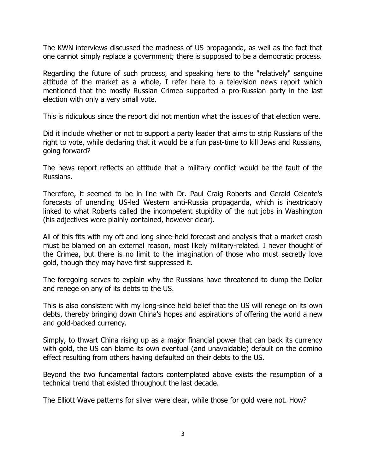The KWN interviews discussed the madness of US propaganda, as well as the fact that one cannot simply replace a government; there is supposed to be a democratic process.

Regarding the future of such process, and speaking here to the "relatively" sanguine attitude of the market as a whole, I refer here to a television news report which mentioned that the mostly Russian Crimea supported a pro-Russian party in the last election with only a very small vote.

This is ridiculous since the report did not mention what the issues of that election were.

Did it include whether or not to support a party leader that aims to strip Russians of the right to vote, while declaring that it would be a fun past-time to kill Jews and Russians, going forward?

The news report reflects an attitude that a military conflict would be the fault of the Russians.

Therefore, it seemed to be in line with Dr. Paul Craig Roberts and Gerald Celente's forecasts of unending US-led Western anti-Russia propaganda, which is inextricably linked to what Roberts called the incompetent stupidity of the nut jobs in Washington (his adjectives were plainly contained, however clear).

All of this fits with my oft and long since-held forecast and analysis that a market crash must be blamed on an external reason, most likely military-related. I never thought of the Crimea, but there is no limit to the imagination of those who must secretly love gold, though they may have first suppressed it.

The foregoing serves to explain why the Russians have threatened to dump the Dollar and renege on any of its debts to the US.

This is also consistent with my long-since held belief that the US will renege on its own debts, thereby bringing down China's hopes and aspirations of offering the world a new and gold-backed currency.

Simply, to thwart China rising up as a major financial power that can back its currency with gold, the US can blame its own eventual (and unavoidable) default on the domino effect resulting from others having defaulted on their debts to the US.

Beyond the two fundamental factors contemplated above exists the resumption of a technical trend that existed throughout the last decade.

The Elliott Wave patterns for silver were clear, while those for gold were not. How?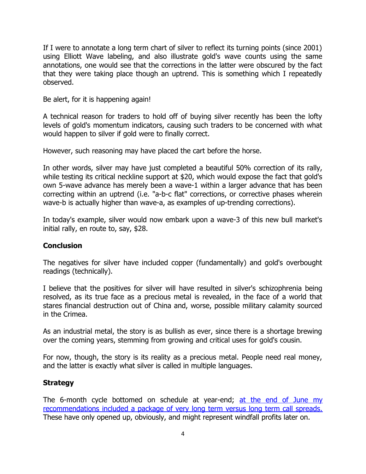If I were to annotate a long term chart of silver to reflect its turning points (since 2001) using Elliott Wave labeling, and also illustrate gold's wave counts using the same annotations, one would see that the corrections in the latter were obscured by the fact that they were taking place though an uptrend. This is something which I repeatedly observed.

#### Be alert, for it is happening again!

A technical reason for traders to hold off of buying silver recently has been the lofty levels of gold's momentum indicators, causing such traders to be concerned with what would happen to silver if gold were to finally correct.

However, such reasoning may have placed the cart before the horse.

In other words, silver may have just completed a beautiful 50% correction of its rally, while testing its critical neckline support at \$20, which would expose the fact that gold's own 5-wave advance has merely been a wave-1 within a larger advance that has been correcting within an uptrend (i.e. "a-b-c flat" corrections, or corrective phases wherein wave-b is actually higher than wave-a, as examples of up-trending corrections).

In today's example, silver would now embark upon a wave-3 of this new bull market's initial rally, en route to, say, \$28.

## **Conclusion**

The negatives for silver have included copper (fundamentally) and gold's overbought readings (technically).

I believe that the positives for silver will have resulted in silver's schizophrenia being resolved, as its true face as a precious metal is revealed, in the face of a world that stares financial destruction out of China and, worse, possible military calamity sourced in the Crimea.

As an industrial metal, the story is as bullish as ever, since there is a shortage brewing over the coming years, stemming from growing and critical uses for gold's cousin.

For now, though, the story is its reality as a precious metal. People need real money, and the latter is exactly what silver is called in multiple languages.

## **Strategy**

The 6-month cycle bottomed on schedule at year-end; [at the end of June my](http://www.sidklein.com/NewComments/June%2026%202013%20MTP%20PM.pdf) [recommendations included a package of very long term versus long term call spreads.](http://www.sidklein.com/NewComments/June%2026%202013%20MTP%20PM.pdf) These have only opened up, obviously, and might represent windfall profits later on.